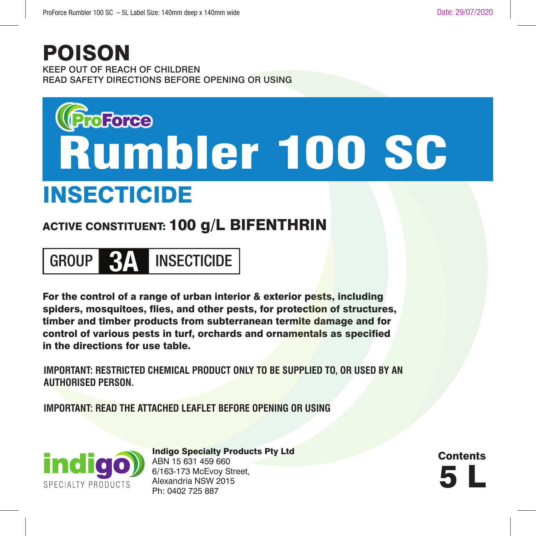### POISON

KEEP OUT OF REACH OF CHILDREN READ SAFETY DIRECTIONS BEFORE OPENING OR USING

# **Rumbler 100 SC**

# INSECTICIDE

#### ACTIVE CONSTITUENT: 100 g/L BIFENTHRIN

# GROUP **3A** INSECTICIDE

For the control of a range of urban interior & exterior pests, including spiders, mosquitoes, flies, and other pests, for protection of structures, timber and timber products from subterranean termite damage and for control of various pests in turf, orchards and ornamentals as specified in the directions for use table.

**IMPORTANT: RESTRICTED CHEMICAL PRODUCT ONLY TO BE SUPPLIED TO, OR USED BY AN AUTHORISED PERSON.**

**IMPORTANT: READ THE ATTACHED LEAFLET BEFORE OPENING OR USING**



Indigo Specialty Products Pty Ltd ABN 15 631 459 660 6/163-173 McEvoy Street, Alexandria NSW 2015<br>Ph: 0402 725 887 N. 1. 2001 - 3.2003<br>
Alexandria NSW 2015<br>
Ph: 0402 725 887

**Contents**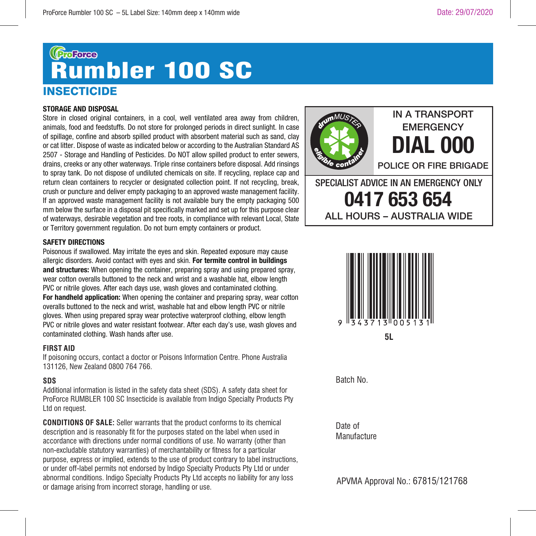# **INSECTICIDE Rumbler 100 SC**

#### **STORAGE AND DISPOSAL**

Store in closed original containers, in a cool, well ventilated area away from children, animals, food and feedstuffs. Do not store for prolonged periods in direct sunlight. In case of spillage, confine and absorb spilled product with absorbent material such as sand, clay or cat litter. Dispose of waste as indicated below or according to the Australian Standard AS 2507 - Storage and Handling of Pesticides. Do NOT allow spilled product to enter sewers, drains, creeks or any other waterways. Triple rinse containers before disposal. Add rinsings to spray tank. Do not dispose of undiluted chemicals on site. If recycling, replace cap and return clean containers to recycler or designated collection point. If not recycling, break, crush or puncture and deliver empty packaging to an approved waste management facility. If an approved waste management facility is not available bury the empty packaging 500 mm below the surface in a disposal pit specifically marked and set up for this purpose clear of waterways, desirable vegetation and tree roots, in compliance with relevant Local, State or Territory government regulation. Do not burn empty containers or product.

#### **SAFETY DIRECTIONS**

Poisonous if swallowed. May irritate the eyes and skin. Repeated exposure may cause allergic disorders. Avoid contact with eyes and skin. **For termite control in buildings and structures:** When opening the container, preparing spray and using prepared spray, wear cotton overalls buttoned to the neck and wrist and a washable hat, elbow length PVC or nitrile gloves. After each days use, wash gloves and contaminated clothing. **For handheld application:** When opening the container and preparing spray, wear cotton overalls buttoned to the neck and wrist, washable hat and elbow length PVC or nitrile gloves. When using prepared spray wear protective waterproof clothing, elbow length PVC or nitrile gloves and water resistant footwear. After each day's use, wash gloves and contaminated clothing. Wash hands after use.

#### **FIRST AID**

If poisoning occurs, contact a doctor or Poisons Information Centre. Phone Australia 131126, New Zealand 0800 764 766.

#### **SDS**

Additional information is listed in the safety data sheet (SDS). A safety data sheet for ProForce RUMBLER 100 SC Insecticide is available from Indigo Specialty Products Pty Ltd on request.

**CONDITIONS OF SALE:** Seller warrants that the product conforms to its chemical description and is reasonably fit for the purposes stated on the label when used in accordance with directions under normal conditions of use. No warranty (other than non-excludable statutory warranties) of merchantability or fitness for a particular purpose, express or implied, extends to the use of product contrary to label instructions, or under off-label permits not endorsed by Indigo Specialty Products Pty Ltd or under abnormal conditions. Indigo Specialty Products Pty Ltd accepts no liability for any loss or damage arising from incorrect storage, handling or use.



#### **EMERGENCY DIAL 000** POLICE OR FIRE BRIGADE

SPECIALIST ADVICE IN AN EMERGENCY ONLY **0417 653 654** ALL HOURS – AUSTRALIA WIDE



Batch No.

Date of Manufacture

APVMA Approval No.: 67815/121768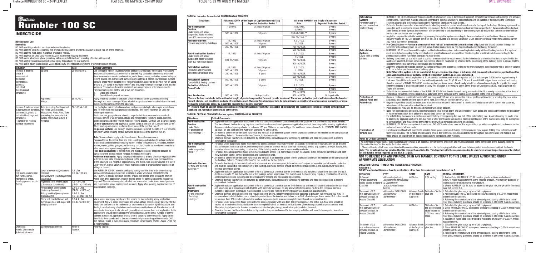ProForce RUMBLER 100 SC – 24PP LEAFLET FLAT SIZE: 498 AM WIDE X 224 MM DEEP FOLDS TO: 83 MM WIDE X 112 MM DEEP POLDS TO: 83 MM WIDE X 112 MM DEEP POLDS TO: 83 MM WIDE X 112 MM DEEP POLDS TO: 83 MM WIDE X 214 MM DEEP POLDS

# Grands Bumbler 100 SC

**Directions for Use**

 $\overline{\phantom{a}}$ 

**Restraints**

DO NOT use this product at less than indicated label rates. DO NOT apply to soils if excessively wet or immediately prior to or after heavy rain to avoid run-off of the chemical. DO NOT apply to mud, sand, mangrove or aquatic habitat.

DO NOT apply as an Ultra Low Volume (ULV) or via thermal fogging treatment.<br>DO NOT use in situations where predatory mites are established and providing effective mite control.<br>DO NOT apply if rainfall is expected before s

DO NOT use in cavity walls (except via certified cavity infill reticulation systems or direct treatment of nest).

| <b>Situation</b>                                                                                                                                                         | Pest                                                                                                                                                                                                                                                                                                                              | Rate                                                                                                                                                                                                                                                              | <b>Critical Comments</b>                                                                                                                                                                                                                                                                                                                                                                                                                                                                                                                                                                                                                                                                                                                                                                                                                                                                                                                                                                                                                                                                                                                                                                                                                                                                                                                                                                                                                                                                                                                                                                                                                                                                                                                                                                                                                 |
|--------------------------------------------------------------------------------------------------------------------------------------------------------------------------|-----------------------------------------------------------------------------------------------------------------------------------------------------------------------------------------------------------------------------------------------------------------------------------------------------------------------------------|-------------------------------------------------------------------------------------------------------------------------------------------------------------------------------------------------------------------------------------------------------------------|------------------------------------------------------------------------------------------------------------------------------------------------------------------------------------------------------------------------------------------------------------------------------------------------------------------------------------------------------------------------------------------------------------------------------------------------------------------------------------------------------------------------------------------------------------------------------------------------------------------------------------------------------------------------------------------------------------------------------------------------------------------------------------------------------------------------------------------------------------------------------------------------------------------------------------------------------------------------------------------------------------------------------------------------------------------------------------------------------------------------------------------------------------------------------------------------------------------------------------------------------------------------------------------------------------------------------------------------------------------------------------------------------------------------------------------------------------------------------------------------------------------------------------------------------------------------------------------------------------------------------------------------------------------------------------------------------------------------------------------------------------------------------------------------------------------------------------------|
| Internal & external<br>areas &<br>surrounds of<br>domestic,<br>commercial,<br>public &<br>industrial<br>buildings and<br>structures                                      | <b>Spiders</b><br>Papernest                                                                                                                                                                                                                                                                                                       | 25-50 mL/10 L<br>50 mL/10 L                                                                                                                                                                                                                                       | Use the higher rate in situations where pest pressure is high, when rapid knockdown<br>and/or maximum residual protection is desired. Pay particular attention to protected<br>dark areas such as cracks and crevices, under floors, eaves, and other known hiding or<br>resting places. For overall band surface spray, apply as a coarse, low pressure surface<br>spray to areas where spiders hide, frequent and rest. Spray to the point of run-off using<br>around $5$ L of spray mixture per 100 $m2$ and ensuring thorough coverage of the treated<br>surfaces. For crack and crevice treatment use an appropriate solid stream nozzle.<br>For maximum spider control use a two part treatment.<br>Crack and crevice.<br>1.<br>$\overline{2}$<br>Overall band spray of surfaces.<br>Apply prepared solution to the point of runoff directly to the papernest ensuring                                                                                                                                                                                                                                                                                                                                                                                                                                                                                                                                                                                                                                                                                                                                                                                                                                                                                                                                                             |
|                                                                                                                                                                          | Wasps                                                                                                                                                                                                                                                                                                                             |                                                                                                                                                                                                                                                                   | thorough and even coverage. When all adult wasps have been knocked-down the nest<br>may be safely removed from the structure.                                                                                                                                                                                                                                                                                                                                                                                                                                                                                                                                                                                                                                                                                                                                                                                                                                                                                                                                                                                                                                                                                                                                                                                                                                                                                                                                                                                                                                                                                                                                                                                                                                                                                                            |
| Internal & external areas<br>& surrounds of domestic,<br>commercial, public &<br>industrial buildings and<br>structures<br>- suitable for residual<br>surface treatments | Ants (excluding Red Imported<br>Fire Ants), Cockroaches,<br>Mosquitoes, Fleas, Flies, Ticks<br>(excluding the paralysis tick<br>Ixodes holocyclus) (Adults &<br>Nymphs)                                                                                                                                                           | 50-100 mL/10 L                                                                                                                                                                                                                                                    | Use the higher rate in situations where pest pressure is high, when rapid knockdown<br>and /or maximum residual protection is desired. The lower rate may be used for<br>follow-up treatments.<br>For indoor use, pay particular attention to protected dark areas such as cracks &<br>crevices, behind or under sinks, stoves and refrigerators, furniture, pipes, cornices,<br>skirting boards and other known hiding or resting places. DO NOT use a surface spray.<br>On non-porous surfaces apply as a coarse spray at the rate of 1L solution per 20 m <sup>2</sup> .<br>When treating non-porous surfaces do not exceed the point of run-off.<br><b>On porous surfaces</b> use through power equipment, spray at the rate of 1 L of solution<br>per 20 m <sup>2</sup> . When treating porous surfaces do not exceed the point of run-off.<br><b>Ants:</b> To control ants apply to trails and nests. Repeat as necessary.<br>Fleas and ticks: To control fleas and ticks, apply prepared solution to outside surfaces<br>of buildings and surrounds including but not limited to foundations, verandas, window<br>frames, eaves, patios, garages, pet housing, soil, turf, trunks or woody ornamentals or<br>other areas where pests congregate or have been seen.<br>Flies and Mosquitoes: To control flies and mosquitoes apply prepared solution to<br>surfaces where insects rest or harbour. Repeat as necessary.<br><b>Perimeter treatments:</b> Apply the prepared solution to a band of soil or vegetation two<br>to three meters wide around and adjacent to the structure. Also treat the foundation<br>of the structure to a height of approximately one metre. Use a spray volume of 5 to 10<br>L per 100 m <sup>2</sup> . Higher volumes of water may be needed if organic matter is present or<br>foliage is dense. |
| Turf<br>(eq lawns, commercial<br>turf farms, parks,<br>recreational areas,<br>bowling greens, sports<br>fields)                                                          | Lawn armyworm (Spodoptera<br>maurita).<br>Sod webworm (Herpetogramma<br>licarsisalis)<br>Argentine stem weevil adults<br>(Listronatus bonariensis)<br>African black beetle adults<br>(Heteronychus arator)<br>Billbug adults (Sphenophorus)<br>brunnipennis)<br>Black ant, coastal brown ant,<br>funnel ant, meat ant, sugar ant, | $1.2$ L/ha<br>(12 mL/100 m <sup>2</sup> )<br>$1.2 - 2.4$ L/ha<br>(12-24 mL /100 m <sup>2</sup> )<br>2.4-3.6 L/ha<br>(24-36 mL/100 m <sup>2</sup> )<br>1.2-2.4 L/ha<br>$(12 - 24$ mL/ 100 m <sup>2</sup> )<br>1.2-4.4 L/ha<br>$(12-44 \text{ mL}/100 \text{ m}^2)$ | Mix RUMBLER 100 SC in water and apply evenly over the area to be treated using<br>spray application equipment. Use a minimum water volume of at least 200L/ha<br>(2L/100m <sup>2</sup> ). To ensure optimum control, irrigate the treated area with up to 4mm of<br>water soon after application. Inspect treated areas for continuing activity. Reapply as<br>required. Where a rate range is indicated use lower rates under lower insect pressure<br>and higher rates under higher insect pressure. Apply after mowing to minimise loss of<br>insecticide in clippings.<br>Mix in water and apply evenly over the area to be treated using spray application<br>equipment. Apply to areas where ants are active. Where possible spray directly into the                                                                                                                                                                                                                                                                                                                                                                                                                                                                                                                                                                                                                                                                                                                                                                                                                                                                                                                                                                                                                                                                               |
| Domestic,                                                                                                                                                                | stinging ant only<br>Subterranean Termites                                                                                                                                                                                                                                                                                        | Refer to                                                                                                                                                                                                                                                          | nests. Use the low rate for maintenance treatments or to control light infestations and<br>the high rate for heavy infestations and maximum residual control. The elimination of<br>funnel ants from a particular site will generally require more than one application. Initial<br>applications should be broadcast over affected areas. As the initial number of active<br>colonies is reduced, application should shift to targeting active mounds. Apply spray<br>directly to the mounds and in the area immediately surrounding active mounds (300<br>mm radius). To aid in even coverage a minimum spray volume of 200 L/ha (2 L/100 m <sup>2</sup> )<br>is recommended.<br>Refer to Table B.                                                                                                                                                                                                                                                                                                                                                                                                                                                                                                                                                                                                                                                                                                                                                                                                                                                                                                                                                                                                                                                                                                                                      |
| Public, Commercial<br>& Industrial areas                                                                                                                                 |                                                                                                                                                                                                                                                                                                                                   | Table A                                                                                                                                                                                                                                                           |                                                                                                                                                                                                                                                                                                                                                                                                                                                                                                                                                                                                                                                                                                                                                                                                                                                                                                                                                                                                                                                                                                                                                                                                                                                                                                                                                                                                                                                                                                                                                                                                                                                                                                                                                                                                                                          |

#### **TABLE A: Use rates for control of SUBTERRANEAN TERMITES**

| <b>Situations</b>                                               |             | All areas SOUTH of the Tropic of Capricorn (except Tas.)                                                                                               | All areas NORTH of the Tropic of Capricorn |                            |  |
|-----------------------------------------------------------------|-------------|--------------------------------------------------------------------------------------------------------------------------------------------------------|--------------------------------------------|----------------------------|--|
|                                                                 | Rate        | <b>Expected Protection Period *</b>                                                                                                                    | Rate                                       | <b>Expected Protection</b> |  |
| <b>Pre-Construction</b>                                         | 1 L/100 L   | At least 10 years                                                                                                                                      | 1.5 L/100 L                                | 5 years                    |  |
| <b>Barriers</b>                                                 |             |                                                                                                                                                        | 1 L/100 L **                               | 4 years                    |  |
| Under slabs and under<br>suspended floors with less             | 500 mL/100L | 10 years                                                                                                                                               | 750 mL/100 L **                            | 3 years                    |  |
| than 400 mm crawl space                                         |             |                                                                                                                                                        | 500 mL/100L **                             | 2 years                    |  |
| <b>Perimeter Barriers</b>                                       | 1 L/100L    | At least 10 years                                                                                                                                      | 1.5 L/100L                                 | 5 years                    |  |
| For new and existing buildings                                  | 500 mL/100L | 10 years                                                                                                                                               | 1 L/100L                                   | 4 years                    |  |
|                                                                 | 250 mL/100L | 3 years                                                                                                                                                | 750 mL/100L                                | 3 years                    |  |
|                                                                 |             |                                                                                                                                                        | 500 mL/100L                                | 2 years                    |  |
| <b>Post-Construction Barriers</b>                               | 1 L/100L    | At least 10 years                                                                                                                                      | 1.5 L/100L                                 | 5 years                    |  |
| Under slabs and under                                           |             |                                                                                                                                                        | 1 L/100L                                   | 4 years                    |  |
| suspended floors with less<br>than 400 mm crawl space           | 500 mL/100L | 10 years                                                                                                                                               | 750 mL/100L                                | 3 years                    |  |
|                                                                 |             |                                                                                                                                                        | 500 mL/100L                                | 2 years                    |  |
| <b>Reticulation systems</b>                                     | 1 L/100L    | At least 10 years                                                                                                                                      | 1.5 L/100L                                 | 5 years                    |  |
| Perimeter and/or service                                        | 500 mL/100L | 10 years                                                                                                                                               | 1 L/100L                                   | 4 years                    |  |
| penetration treatment only                                      | 250 mL/100L | 3 years                                                                                                                                                | 750 mL/100L                                | 3 years                    |  |
|                                                                 |             |                                                                                                                                                        | 500 mL/100L                                | 2 years                    |  |
| <b>Reticulation Systems</b><br>Cavity infill & footing barriers | 500 mL/100L | 5 years                                                                                                                                                | 1 L/100L                                   | 2 years                    |  |
| <b>Protection of Poles &amp;</b>                                | 500 mL/100L | 10 years                                                                                                                                               | 1.5 L/100L                                 | 5 years                    |  |
| <b>Fence Posts</b>                                              |             |                                                                                                                                                        | 1 L/100L                                   | 4 years                    |  |
|                                                                 |             |                                                                                                                                                        | 750 mL/100L                                | 3 years                    |  |
| <b>Nest Eradication</b>                                         | 500 mL/100L | Not applicable                                                                                                                                         | 500 mL/100L                                | Not applicable             |  |
|                                                                 |             | *Several factors contribute to the estimated length of protection provided for each termite treatment. The actual protection period will depend on the |                                            |                            |  |

\*Several factors contribute to the estimated length of protection provided for each termite treatment. The actual protection period will depend on the termite<br>hazard, climate, soil conditions and rate of termiticide used.

**\*\* This rate must be used in conjunction with a certified reticulation system that is capable of distributing the Insecticide solution according to the product label and the Australian Standard AS 3660 Series.**

#### **TABLE B: CRITICAL COMMENTS for use against SUBTERRANEAN TERMITES**

| <b>Situations</b>                                                                                             | <b>Critical Comments</b>                                                                                                                                                                                                                                                                                                                                                                                                                                                                                                                                                                                                                                                                                                                                                                                                                                                                                                                                                                                                                                                                                                                                                                                                                                                                                                                                                                                                    |
|---------------------------------------------------------------------------------------------------------------|-----------------------------------------------------------------------------------------------------------------------------------------------------------------------------------------------------------------------------------------------------------------------------------------------------------------------------------------------------------------------------------------------------------------------------------------------------------------------------------------------------------------------------------------------------------------------------------------------------------------------------------------------------------------------------------------------------------------------------------------------------------------------------------------------------------------------------------------------------------------------------------------------------------------------------------------------------------------------------------------------------------------------------------------------------------------------------------------------------------------------------------------------------------------------------------------------------------------------------------------------------------------------------------------------------------------------------------------------------------------------------------------------------------------------------|
| <b>Pre-Construction</b><br><b>Barriers</b><br>Under Slabs<br>for protection of<br>new buildings +, ++         | Apply with suitable application equipment to form a complete and continuous chemical barrier (both vertical and horizontal) under the slab.<br>The formation of the barrier may require a combination of conventional open wand application and soil trenching and/or rodding applications.<br>Recommended rod spacing should be between 150 and 300 mm, as per soil type. For additional information refer to "CRITICAL APPLICATION<br>DETAILS" on this label and the Australian Standard AS 3660 Series.<br>An external perimeter barrier (both horizontal and vertical) is an essential part of termite protection and must be installed at the completion of<br>the building. Refer to "Perimeter Barriers" below, for further details.<br>Chemical barriers that have been disturbed by construction, excavation and/or landscaping activities will need to be reapplied to restore<br>continuity of the barrier.                                                                                                                                                                                                                                                                                                                                                                                                                                                                                                      |
| <b>Pre-Construction</b><br><b>Barriers</b><br>Under suspended<br>$floor +$                                    | For areas under suspended floors with restricted access (typically less than 400 mm clearance), the entire sub-floor area should be treated<br>as a continuous horizontal barrier, which completely abuts an internal vertical barrier (if necessary) around any substructure wall. Ideally, this<br>operation should be done during construction of the building while access is more readily available.<br>For areas beneath suspended floors which have adequate access (eq. more than 400 mm clearance), install perimeter barriers around each<br>individual pier, stump, service penetration and substructure wall.<br>An external perimeter barrier (both horizontal and vertical) is an essential part of termite protection and must be installed at the completion of<br>the building. Refer to "Perimeter Barriers" in this leaflet, for further details.                                                                                                                                                                                                                                                                                                                                                                                                                                                                                                                                                        |
| Perimeter Barriers<br>for new and existing<br>buildings **                                                    | Perimeter barriers (both horizontal and vertical, external and where required, internal or sub-floor) are an essential part of termite protection<br>and must be installed at the completion of the building. Perimeter barriers should be installed around slabs, piers, substructure walls and<br>external penetration points.<br>Apply with suitable application equipment to form a continuous chemical barrier (both vertical and horizontal) around the structure and to a<br>depth reaching to 80 mm below the top of the footings, where appropriate. The formation of the barrier may require a combination of several<br>application techniques, including soil trenching and/or rodding and open wand applications.<br>Chemical barriers that have been disturbed by construction, excavation and/or landscaping activities will need to be reapplied to restore<br>continuity of the barrier.                                                                                                                                                                                                                                                                                                                                                                                                                                                                                                                   |
| <b>Post-Construction</b><br>Barrier<br><b>Treatments</b><br>for the protection<br>of existing<br>buildings ** | Apply with suitable application equipment to form a continuous chemical barrier (both horizontal and vertical) around and under the buildings<br>and structures as in accordance with AS3660 with particular emphasis on any known infestation areas. To form the chemical barrier a<br>number of application techniques may be needed including soil rodding; trenching; open wand and sub-slab injections.<br>Chemical barriers beneath concrete will require concrete drilling. Recommended drill hole spacings is between 150 mm and 300 mm. To<br>enhance chemical distribution, use a lateral dispersion tip on the injector and deliver up to 10 L of solution per linear metre. Drill holes should<br>be no more than 150 mm from foundation walls or expansion joints to ensure complete formation of a chemical barrier.<br>For areas under suspended floors with restricted access (typically with less than 400 mm clearance), the entire sub-floor area should be<br>treated as a continuous horizontal barrier which completely abuts an internal vertical barrier (if necessary) around any substructure wall.<br>Otherwise, install perimeter barriers around each individual pier, stump, penetration point and structure wall.<br>Chemical barriers that have been disturbed by construction, excavation and/or landscaping activities will need to be reapplied to restore<br>continuity of the barrier. |

| al) under the slab.<br>odding applications.<br><b>TICAL APPLICATION</b> |  |
|-------------------------------------------------------------------------|--|
| at the completion of                                                    |  |
| plied to restore                                                        |  |
| should be treated<br>re wall. Ideally, this                             |  |
| rriers around each                                                      |  |
| at the completion of                                                    |  |

d under the buildings mical barrier a

| <b>Reticulation</b>               | RUMBLER 100 SC must be used through a certified reticulation system to form and replenish perimeter barriers around buildings and service                                                                                                      |
|-----------------------------------|------------------------------------------------------------------------------------------------------------------------------------------------------------------------------------------------------------------------------------------------|
| <b>Systems</b>                    | penetrations. The system must be installed according to the manufacturer's specifications and be capable of distributing the termiticide                                                                                                       |
| Perimeter and/or -                | solution according to the product label and the Australian Standard AS3660 Series.                                                                                                                                                             |
| service penetration               | Perimeter barriers consist of a horizontal barrier abutting a vertical barrier, which must reach to the top of the footing. Delivery pipes must be                                                                                             |
| treatment only                    | placed in such a position to ensure that the requirements for both-horizontal and vertical barriers as specified in the Australian Standard AS                                                                                                 |
|                                   | 3660 Series are met; Special attention must also be afforded to the positioning of the delivery pipes to ensure that the resultant termiticide                                                                                                 |
|                                   | barriers are continuous and complete.                                                                                                                                                                                                          |
|                                   | Apply the prepared termiticide solution by pumping through the system according to the manufacturer's specifications. Use a minimum                                                                                                            |
|                                   | delivery volume of 100 L of solution per m <sup>3</sup> of soil. This equates to a delivery volume of 5 L of solution per linear metre for a vertical barrier                                                                                  |
|                                   | 300 mm x 150 mm in dimension.<br>Pre-Construction — For use in conjunction with full soil treatment horizontal barriers only: Apply the diluted solution through the                                                                           |
|                                   | perimeter reticulation system as specified above. Follow instructions for Pre-Construction horizontal barrier formation.                                                                                                                       |
| <b>Reticulation</b>               | RUMBLER 100 SC must be used through a certified reticulation system to form and replenish cavity infill and footing barriers. The system                                                                                                       |
| <b>Systems</b>                    | must be installed according to the manufacturer's specifications and be capable of distributing the termiticide solution according to the                                                                                                      |
| Cavity infill & footing           | product label and the Australian Standard AS3660 Series.                                                                                                                                                                                       |
| barriers                          | Delivery pipes must be placed in such a position to ensure that the requirements for both horizontal and vertical barriers as specified in the                                                                                                 |
|                                   | Australian Standard AS3660 Series are met. Special attention must also be afforded to the positioning of the delivery pipes to ensure that the                                                                                                 |
|                                   | resultant termiticidal barriers are continuous and complete.                                                                                                                                                                                   |
|                                   | Apply the prepared termiticide solution by pumping through the system according to the manufacturer's specifications with a delivery volume                                                                                                    |
|                                   | of 2 L of solution per linear meter of delivery pipe.                                                                                                                                                                                          |
|                                   | Note: Where this system is to be installed at the pre-construction stage, a full under slab pre-construction barrier, applied by either                                                                                                        |
|                                   | open wand application or suitably certified reticulation system, is also recommended.<br>The recommended rate of application is 2 L of solution per linear metre which equates to 2 L of solution per 0.0068 m <sup>3</sup> or approximately 7 |
|                                   | L of sand. Should the volume of fill in the wall cavity deviate from 7 L (0.17 m x 0.04 m x 1 m = 0.0068 m <sup>3</sup> ) per linear metre of wall cavity,                                                                                     |
|                                   | then the amount of RUMBLER 100 SC solution applied per linear metre of wall cavity should be adjusted accordingly. As a quide, the target                                                                                                      |
|                                   | bifenthrin loading of treated sand/soil in a cavity infill situation is 110 mg/kg South of the Tropic of Capricorn and 220 mg/kg North of the                                                                                                  |
|                                   | Tropic of Capricorn.                                                                                                                                                                                                                           |
|                                   | To facilitate more even distribution of the RUMBLER 100 SC solution in the wall cavity, ensure that the fill is evenly compacted at the time of                                                                                                |
|                                   | installation. To further enhance distribution, saturation of the sand/soil in the infill is recommended at the time of treatment.                                                                                                              |
| <b>Protection of</b>              | Create a continuous termiticide barrier 450 mm deep and 150 mm wide around the pole or post by soil injection or rodding. For new poles                                                                                                        |
| <b>Service Poles and</b>          | and posts, treat backfill and the bottom of the hole. Use 100 L of solution per m <sup>3</sup> of soil.                                                                                                                                        |
| <b>Fence Posts</b>                | Reqular inspections should be undertaken to determine when and if retreatment is necessary. If disturbance of the barrier has occurred,                                                                                                        |
|                                   | retreatment of the area affected will be required.                                                                                                                                                                                             |
|                                   | Posts and poles may also be drilled and injected with spray solution.<br>Note: For existing poles and posts, it is impractical to treat the full depth and underneath of such poles and posts and therefore the possibility                    |
|                                   | of future termite attack from below the treated area cannot be ruled out.                                                                                                                                                                      |
|                                   | For establishing trees create a continuous barrier totally encompassing the root ball of the establishing tree. Application may be made prior                                                                                                  |
|                                   | to planting by applying solution to pre-dug hole or after planting via soil rodding. Roots projecting out of the treated zone may be susceptible                                                                                               |
|                                   | to termite attack and may provide entry into the tree without termites contacting treated soil.                                                                                                                                                |
|                                   | RUMBLER 100 SC is a non-systemic insecticide. DO NOT treat mature trees as it is impossible to provide a complete and continuous barrier                                                                                                       |
|                                   | under and around all tree roots.                                                                                                                                                                                                               |
| <b>Eradication of</b>             | Locate nest and flood with insecticide solution. Trees, poles, posts and stumps containing nests may require drilling prior to treatment with                                                                                                  |
| <b>Termite Nest</b>               | termiticide solution. The purpose of drilling is to ensure the termiticide solution is distributed throughout the entire nest. Drill holes in live                                                                                             |
|                                   | trees should be sealed with an appropriate caulking compound after injection.                                                                                                                                                                  |
| <b>Notes to Critical Comments</b> |                                                                                                                                                                                                                                                |
|                                   | An external Perimeter barrier (both horizonal and vertical) is an essential part of termite protection and must be installed at the completion of the building. Refer to<br>'Perimeter Barriers" in this leaflet for further details.          |
|                                   | ** Chemical barriers that have been disturbed by construction, excavation and /or landscaping activities will need to be reapplied to restore continuity of the barrier.                                                                       |
|                                   | Note: The termiticide barrier provided by this product has a finite life. This together with the recommendation to undertake annual inspections must be stated                                                                                 |
|                                   | on the durable notice required by the BCA, B1.3(j)(ii).                                                                                                                                                                                        |
|                                   | NOT TO BE USED FOR ANY PURPOSE, OR IN ANY MANNER, CONTRARY TO THIS LABEL UNLESS AUTHORISED UNDER                                                                                                                                               |
| <b>APPROPRIATE LEGISLATION</b>    |                                                                                                                                                                                                                                                |
|                                   |                                                                                                                                                                                                                                                |
|                                   | DIRECTION FOR USE - TIMBER AND TIMBER BASED PRODUCTS                                                                                                                                                                                           |
| Restraints:                       |                                                                                                                                                                                                                                                |

**Restraints : DO NOT use treated timber or boards in situations other than those deemed hazard class 1 or 2.**

| <b>SITUATION</b>                                                                                  | <b>PEST</b>                                                                  | <b>STATE</b>                             | <b>RATE</b>                                                                                  | <b>CRITICAL COMMENTS</b>                                                                                                                                                                                                                                                                                                                                                                                                                                 |
|---------------------------------------------------------------------------------------------------|------------------------------------------------------------------------------|------------------------------------------|----------------------------------------------------------------------------------------------|----------------------------------------------------------------------------------------------------------------------------------------------------------------------------------------------------------------------------------------------------------------------------------------------------------------------------------------------------------------------------------------------------------------------------------------------------------|
| Softwood<br>Particle and strand<br>based boards in Hazard   & Coptotermes<br>Class H <sub>2</sub> | All termites (including<br>Mastotermes darwiniensis<br>acinaciformis) Timber | All States                               | 10.56 mL/ka                                                                                  | 1. Add sufficient RUMBLER 100 SC into the glue to achieve a retention of<br>0.0047% mass/mass bifenthrin in the finished product. Alternatively particles or<br>strands can be treated prior to manufacture.<br>2. Where RUMBLER 100 SC is to be added to the glue mix, the pH of the fixed mix                                                                                                                                                          |
| Treatment of 2.5<br>mm softwood veneer<br>plywood and LVL in<br><b>Hazard Class H2</b>            | beetles<br>All termites EXCLUDING<br><b>Mastodermes</b><br>darwiniensis      | of the Tropic of  qlue line<br>Capricorn |                                                                                              | must not exceed 9.5<br>All areas South $\vert$ 248 mL/m <sup>3</sup> in the $\vert$ 1. Calculate the glue usage by m <sup>3</sup> of LVL or plywood.<br>2. Add RUMBLER 100 SC as required to ensure a loading of 0.004% mass/mass<br>bifenthrin in the veneers.<br>3. Following the manufacture of the plywood panel, loading of bifenthrin in the<br>inner plies, including glue lines, should be a minimum of 0.0021 % ai mass/mass.                   |
| Treatment of 2.5<br>mm softwood veneer<br>plywood and LVL in<br><b>Hazard Class H2</b>            | All termites                                                                 | <b>All States</b>                        | 500 mL/m <sup>3</sup> in<br>the glue line and<br>faces treated to<br>10.003%ai mass/<br>mass | 1. Calculate the glue usage by $m^3$ of LVL or plywood.<br>2. Dilute RUMBLER 100 SC as required to ensure a loading of 0.008% mass/mass<br>bifenthrin in the veneers.<br>3. Following the manufacture of the plywood panel, loading of bifenthrin in the<br>inner plies, including glue lines, should be a minimum of 0.0042 % ai mass/mass.<br>4. In addition, faces need to be treated to retentions of 20 $g/m3$ or 0.003% mass/<br>lmass bifenthrin. |
| Treatment of 3.2<br>lmm softwood veneer<br>plywood and LVL in<br><b>Hazard Class H2</b>           | All termites EXCLUDING<br><b>Mastodermes</b><br>darwiniensis                 | of the Tropic of  qlue line<br>Capricorn |                                                                                              | All areas South $\frac{248 \text{ mL}}{m^3}$ in the $\frac{1}{2}$ . Calculate the glue usage by $m^3$ of LVL or plywood.<br>2. Dilute RUMBLER 100 SC as required to ensure a loading of 0.004% mass/mass<br>bifenthrin in the veneers.<br>3. Following the manufacture of the plywood panel, loading of bifenthrin in the<br>linner plies, including glue lines, should be a minimum of 0.0021 % ai mass/mass.                                           |

#### INSECTICIDE